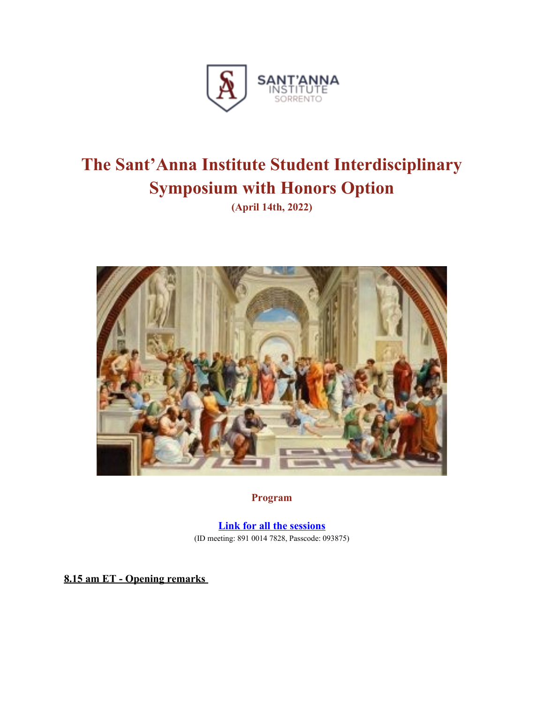

## **The Sant'Anna Institute Student Interdisciplinary Symposium with Honors Option**

**(April 14th, 2022)**



**Program**

**[Link for all the sessions](https://us02web.zoom.us/j/89100147828?pwd=VDJIbFFoRHVnNjZJYVVrRWM3U1RaUT09)** (ID meeting: 891 0014 7828, Passcode: 093875)

 **8. 15 am ET - Opening remarks**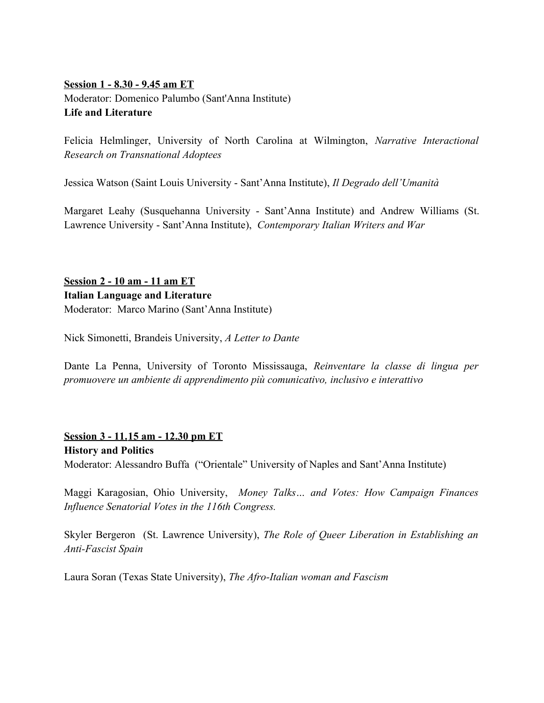## **Session 1 - 8 .30 - 9. 45 am ET** Moderator: Domenico Palumbo (Sant'Anna Institute) **Life and Literature**

Felicia Helmlinger, University of North Carolina at Wilmington, *Narrative Interactional Research on Transnational Adoptees* 

Jessica Watson (Saint Louis University - Sant'Anna Institute), *Il Degrado dell'Umanità*

Margaret Leahy (Susquehanna University - Sant'Anna Institute) and Andrew Williams (St. Lawrence University - Sant'Anna Institute), *Contemporary Italian Writers and War*

 **Session 2 - 10 am - 1 1 am ET Italian Language and Literature** Moderator: Marco Marino (Sant'Anna Institute)

Nick Simonetti, Brandeis University, *A Letter to Dante*

Dante La Penna, University of Toronto Mississauga, *Reinventare la classe di lingua per promuovere un ambiente di apprendimento più comunicativo, inclusivo e interattivo*

## **Session 3 - 11.15 am - 12.30 pm ET**

**History and Politics** Moderator: Alessandro Buffa ("Orientale" University of Naples and Sant'Anna Institute)

Maggi Karagosian, Ohio University, *Money Talks… and Votes: How Campaign Finances Influence Senatorial Votes in the 116th Congress.*

Skyler Bergeron (St. Lawrence University), *The Role of Queer Liberation in Establishing an Anti-Fascist Spain*

Laura Soran (Texas State University), *The Afro-Italian woman and Fascism*